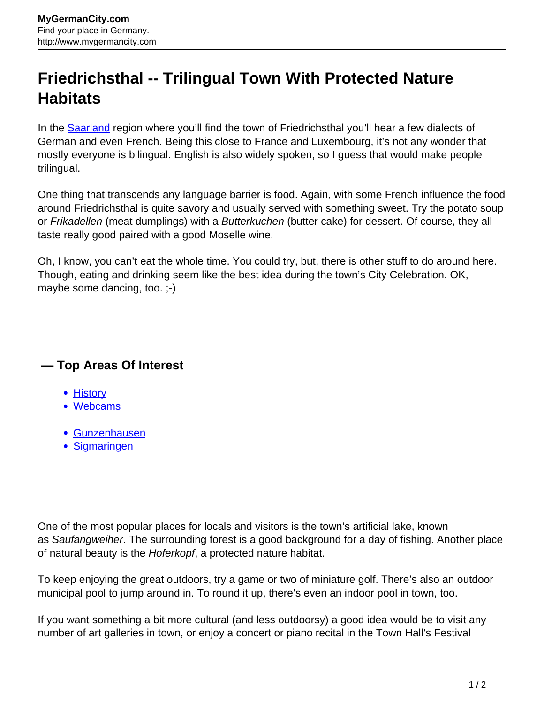## **Friedrichsthal -- Trilingual Town With Protected Nature Habitats**

In the [Saarland](http://www.mygermancity.com/saarland) region where you'll find the town of Friedrichsthal you'll hear a few dialects of German and even French. Being this close to France and Luxembourg, it's not any wonder that mostly everyone is bilingual. English is also widely spoken, so I guess that would make people trilingual.

One thing that transcends any language barrier is food. Again, with some French influence the food around Friedrichsthal is quite savory and usually served with something sweet. Try the potato soup or Frikadellen (meat dumplings) with a Butterkuchen (butter cake) for dessert. Of course, they all taste really good paired with a good Moselle wine.

Oh, I know, you can't eat the whole time. You could try, but, there is other stuff to do around here. Though, eating and drinking seem like the best idea during the town's City Celebration. OK, maybe some dancing, too. ;-)

## **— Top Areas Of Interest**

- [History](http://www.mygermancity.com/leipzig-history)
- [Webcams](http://www.mygermancity.com/neustadt-holstein-webcams)
- [Gunzenhausen](http://www.mygermancity.com/gunzenhausen)
- [Sigmaringen](http://www.mygermancity.com/sigmaringen)

One of the most popular places for locals and visitors is the town's artificial lake, known as Saufangweiher. The surrounding forest is a good background for a day of fishing. Another place of natural beauty is the Hoferkopf, a protected nature habitat.

To keep enjoying the great outdoors, try a game or two of miniature golf. There's also an outdoor municipal pool to jump around in. To round it up, there's even an indoor pool in town, too.

If you want something a bit more cultural (and less outdoorsy) a good idea would be to visit any number of art galleries in town, or enjoy a concert or piano recital in the Town Hall's Festival